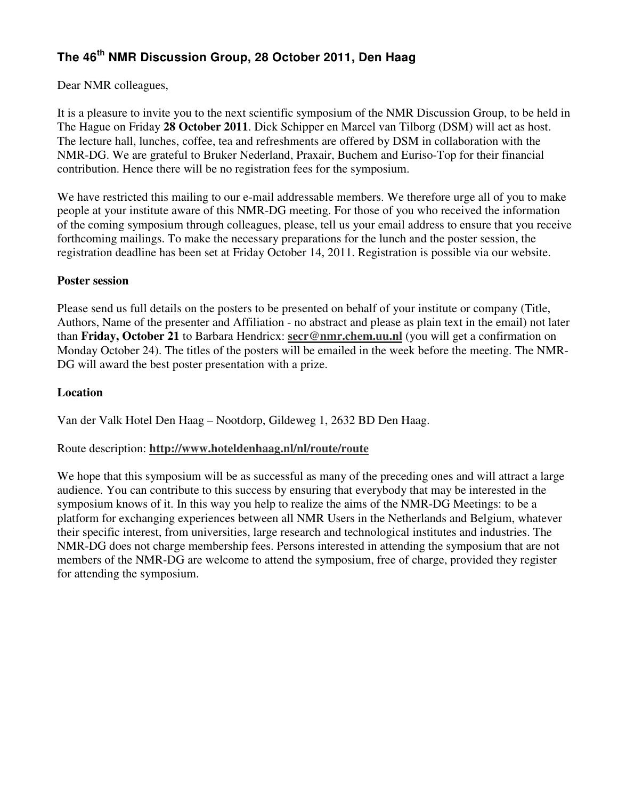# **The 46th NMR Discussion Group, 28 October 2011, Den Haag**

Dear NMR colleagues,

It is a pleasure to invite you to the next scientific symposium of the NMR Discussion Group, to be held in The Hague on Friday **28 October 2011**. Dick Schipper en Marcel van Tilborg (DSM) will act as host. The lecture hall, lunches, coffee, tea and refreshments are offered by DSM in collaboration with the NMR-DG. We are grateful to Bruker Nederland, Praxair, Buchem and Euriso-Top for their financial contribution. Hence there will be no registration fees for the symposium.

We have restricted this mailing to our e-mail addressable members. We therefore urge all of you to make people at your institute aware of this NMR-DG meeting. For those of you who received the information of the coming symposium through colleagues, please, tell us your email address to ensure that you receive forthcoming mailings. To make the necessary preparations for the lunch and the poster session, the registration deadline has been set at Friday October 14, 2011. Registration is possible via our website.

#### **Poster session**

Please send us full details on the posters to be presented on behalf of your institute or company (Title, Authors, Name of the presenter and Affiliation - no abstract and please as plain text in the email) not later than **Friday, October 21** to Barbara Hendricx: **secr@nmr.chem.uu.nl** (you will get a confirmation on Monday October 24). The titles of the posters will be emailed in the week before the meeting. The NMR-DG will award the best poster presentation with a prize.

### **Location**

Van der Valk Hotel Den Haag – Nootdorp, Gildeweg 1, 2632 BD Den Haag.

### Route description: **http://www.hoteldenhaag.nl/nl/route/route**

We hope that this symposium will be as successful as many of the preceding ones and will attract a large audience. You can contribute to this success by ensuring that everybody that may be interested in the symposium knows of it. In this way you help to realize the aims of the NMR-DG Meetings: to be a platform for exchanging experiences between all NMR Users in the Netherlands and Belgium, whatever their specific interest, from universities, large research and technological institutes and industries. The NMR-DG does not charge membership fees. Persons interested in attending the symposium that are not members of the NMR-DG are welcome to attend the symposium, free of charge, provided they register for attending the symposium.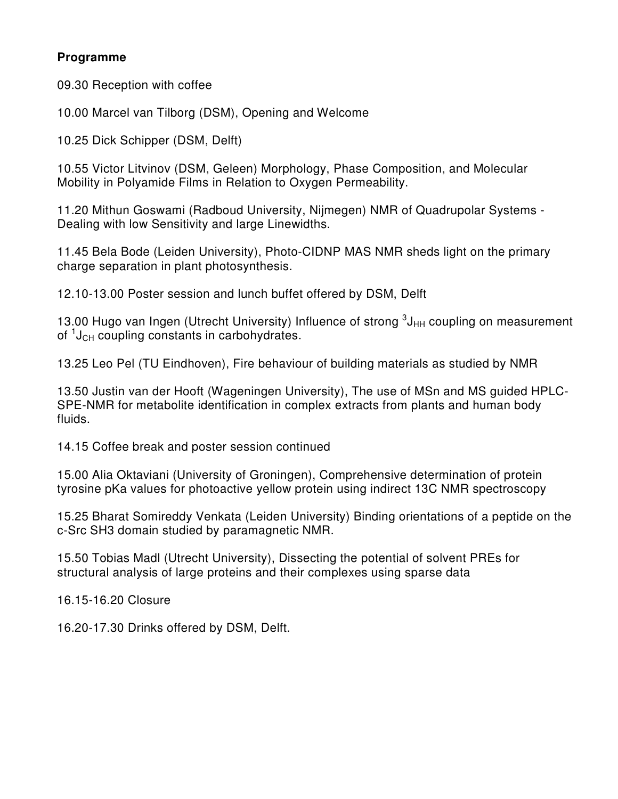### **Programme**

09.30 Reception with coffee

10.00 Marcel van Tilborg (DSM), Opening and Welcome

10.25 Dick Schipper (DSM, Delft)

10.55 Victor Litvinov (DSM, Geleen) Morphology, Phase Composition, and Molecular Mobility in Polyamide Films in Relation to Oxygen Permeability.

11.20 Mithun Goswami (Radboud University, Nijmegen) NMR of Quadrupolar Systems - Dealing with low Sensitivity and large Linewidths.

11.45 Bela Bode (Leiden University), Photo-CIDNP MAS NMR sheds light on the primary charge separation in plant photosynthesis.

12.10-13.00 Poster session and lunch buffet offered by DSM, Delft

13.00 Hugo van Ingen (Utrecht University) Influence of strong  $3J_{HH}$  coupling on measurement of <sup>1</sup>J<sub>CH</sub> coupling constants in carbohydrates.

13.25 Leo Pel (TU Eindhoven), Fire behaviour of building materials as studied by NMR

13.50 Justin van der Hooft (Wageningen University), The use of MSn and MS guided HPLC-SPE-NMR for metabolite identification in complex extracts from plants and human body fluids.

14.15 Coffee break and poster session continued

15.00 Alia Oktaviani (University of Groningen), Comprehensive determination of protein tyrosine pKa values for photoactive yellow protein using indirect 13C NMR spectroscopy

15.25 Bharat Somireddy Venkata (Leiden University) Binding orientations of a peptide on the c-Src SH3 domain studied by paramagnetic NMR.

15.50 Tobias Madl (Utrecht University), Dissecting the potential of solvent PREs for structural analysis of large proteins and their complexes using sparse data

16.15-16.20 Closure

16.20-17.30 Drinks offered by DSM, Delft.